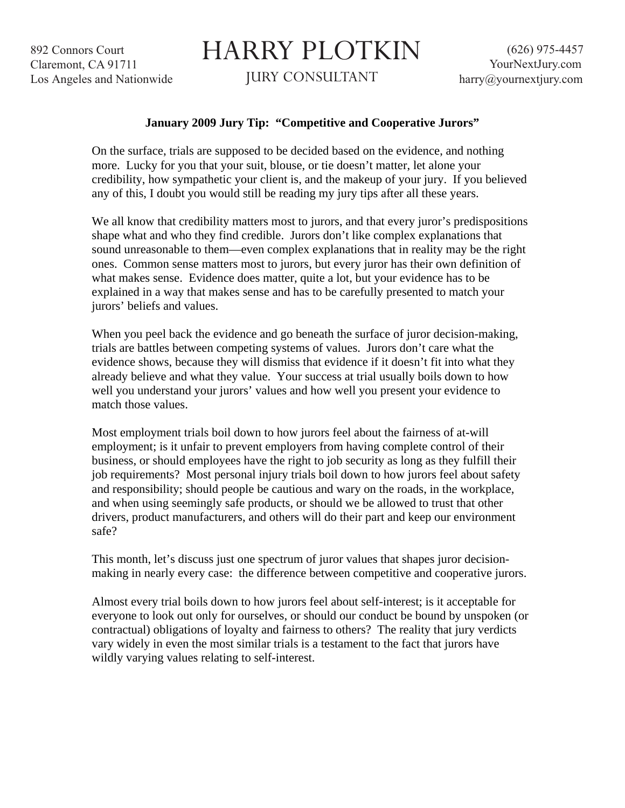892 Connors Court Claremont, CA 91711 Los Angeles and Nationwide

## HARRY PLOTKIN

JURY CONSULTANT

## **January 2009 Jury Tip: "Competitive and Cooperative Jurors"**

On the surface, trials are supposed to be decided based on the evidence, and nothing more. Lucky for you that your suit, blouse, or tie doesn't matter, let alone your credibility, how sympathetic your client is, and the makeup of your jury. If you believed any of this, I doubt you would still be reading my jury tips after all these years.

We all know that credibility matters most to jurors, and that every juror's predispositions shape what and who they find credible. Jurors don't like complex explanations that sound unreasonable to them—even complex explanations that in reality may be the right ones. Common sense matters most to jurors, but every juror has their own definition of what makes sense. Evidence does matter, quite a lot, but your evidence has to be explained in a way that makes sense and has to be carefully presented to match your jurors' beliefs and values.

When you peel back the evidence and go beneath the surface of juror decision-making, trials are battles between competing systems of values. Jurors don't care what the evidence shows, because they will dismiss that evidence if it doesn't fit into what they already believe and what they value. Your success at trial usually boils down to how well you understand your jurors' values and how well you present your evidence to match those values.

Most employment trials boil down to how jurors feel about the fairness of at-will employment; is it unfair to prevent employers from having complete control of their business, or should employees have the right to job security as long as they fulfill their job requirements? Most personal injury trials boil down to how jurors feel about safety and responsibility; should people be cautious and wary on the roads, in the workplace, and when using seemingly safe products, or should we be allowed to trust that other drivers, product manufacturers, and others will do their part and keep our environment safe?

This month, let's discuss just one spectrum of juror values that shapes juror decisionmaking in nearly every case: the difference between competitive and cooperative jurors.

Almost every trial boils down to how jurors feel about self-interest; is it acceptable for everyone to look out only for ourselves, or should our conduct be bound by unspoken (or contractual) obligations of loyalty and fairness to others? The reality that jury verdicts vary widely in even the most similar trials is a testament to the fact that jurors have wildly varying values relating to self-interest.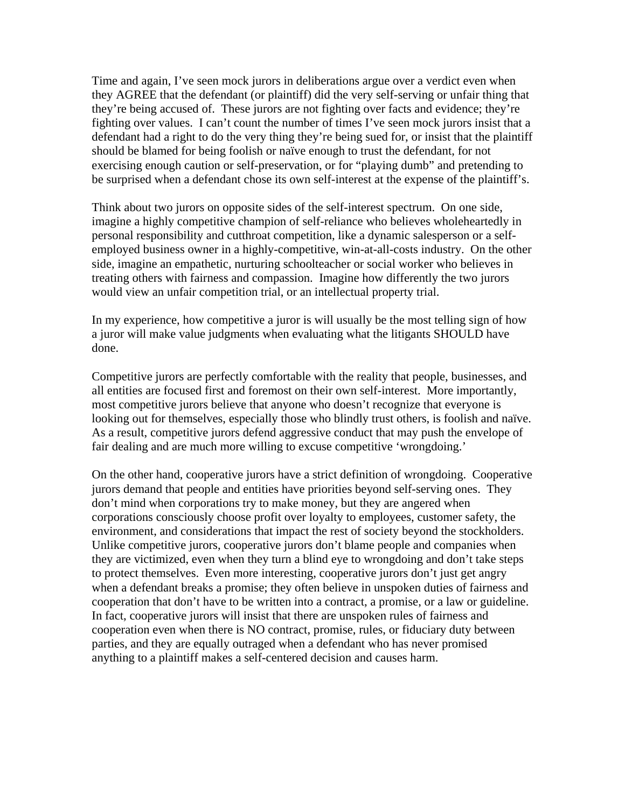Time and again, I've seen mock jurors in deliberations argue over a verdict even when they AGREE that the defendant (or plaintiff) did the very self-serving or unfair thing that they're being accused of. These jurors are not fighting over facts and evidence; they're fighting over values. I can't count the number of times I've seen mock jurors insist that a defendant had a right to do the very thing they're being sued for, or insist that the plaintiff should be blamed for being foolish or naïve enough to trust the defendant, for not exercising enough caution or self-preservation, or for "playing dumb" and pretending to be surprised when a defendant chose its own self-interest at the expense of the plaintiff's.

Think about two jurors on opposite sides of the self-interest spectrum. On one side, imagine a highly competitive champion of self-reliance who believes wholeheartedly in personal responsibility and cutthroat competition, like a dynamic salesperson or a selfemployed business owner in a highly-competitive, win-at-all-costs industry. On the other side, imagine an empathetic, nurturing schoolteacher or social worker who believes in treating others with fairness and compassion. Imagine how differently the two jurors would view an unfair competition trial, or an intellectual property trial.

In my experience, how competitive a juror is will usually be the most telling sign of how a juror will make value judgments when evaluating what the litigants SHOULD have done.

Competitive jurors are perfectly comfortable with the reality that people, businesses, and all entities are focused first and foremost on their own self-interest. More importantly, most competitive jurors believe that anyone who doesn't recognize that everyone is looking out for themselves, especially those who blindly trust others, is foolish and naïve. As a result, competitive jurors defend aggressive conduct that may push the envelope of fair dealing and are much more willing to excuse competitive 'wrongdoing.'

On the other hand, cooperative jurors have a strict definition of wrongdoing. Cooperative jurors demand that people and entities have priorities beyond self-serving ones. They don't mind when corporations try to make money, but they are angered when corporations consciously choose profit over loyalty to employees, customer safety, the environment, and considerations that impact the rest of society beyond the stockholders. Unlike competitive jurors, cooperative jurors don't blame people and companies when they are victimized, even when they turn a blind eye to wrongdoing and don't take steps to protect themselves. Even more interesting, cooperative jurors don't just get angry when a defendant breaks a promise; they often believe in unspoken duties of fairness and cooperation that don't have to be written into a contract, a promise, or a law or guideline. In fact, cooperative jurors will insist that there are unspoken rules of fairness and cooperation even when there is NO contract, promise, rules, or fiduciary duty between parties, and they are equally outraged when a defendant who has never promised anything to a plaintiff makes a self-centered decision and causes harm.